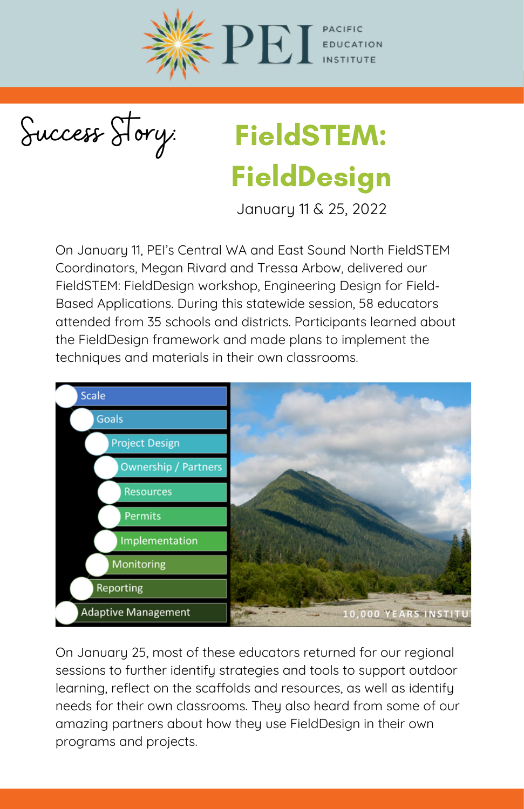

Success Story:

## FieldSTEM: FieldDesign

January 11 & 25, 2022

On January 11, PEI's Central WA and East Sound North FieldSTEM Coordinators, Megan Rivard and Tressa Arbow, delivered our FieldSTEM: FieldDesign workshop, Engineering Design for Field-Based Applications. During this statewide session, 58 educators attended from 35 schools and districts. Participants learned about the FieldDesign framework and made plans to implement the techniques and materials in their own classrooms.



On January 25, most of these educators returned for our regional sessions to further identify strategies and tools to support outdoor learning, reflect on the scaffolds and resources, as well as identify needs for their own classrooms. They also heard from some of our amazing partners about how they use FieldDesign in their own programs and projects.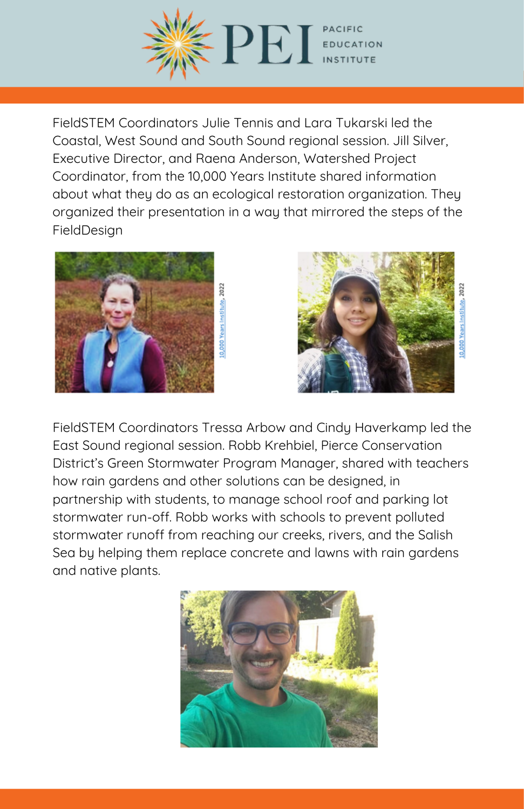

FieldSTEM Coordinators Julie Tennis and Lara Tukarski led the Coastal, West Sound and South Sound regional session. Jill Silver, Executive Director, and Raena Anderson, Watershed Project Coordinator, from the 10,000 Years [Institute](https://www.10000yearsinstitute.org/) shared information about what they do as an ecological restoration organization. They organized their presentation in a way that mirrored the steps of the FieldDesign





FieldSTEM Coordinators Tressa Arbow and Cindy Haverkamp led the East Sound regional session. Robb Krehbiel, Pierce [Conservation](https://piercecd.org/) District's Green Stormwater Program Manager, shared with teachers how rain gardens and other solutions can be designed, in partnership with students, to manage school roof and parking lot stormwater run-off. Robb works with schools to prevent polluted stormwater runoff from reaching our creeks, rivers, and the Salish Sea by helping them replace concrete and lawns with rain gardens and native plants.